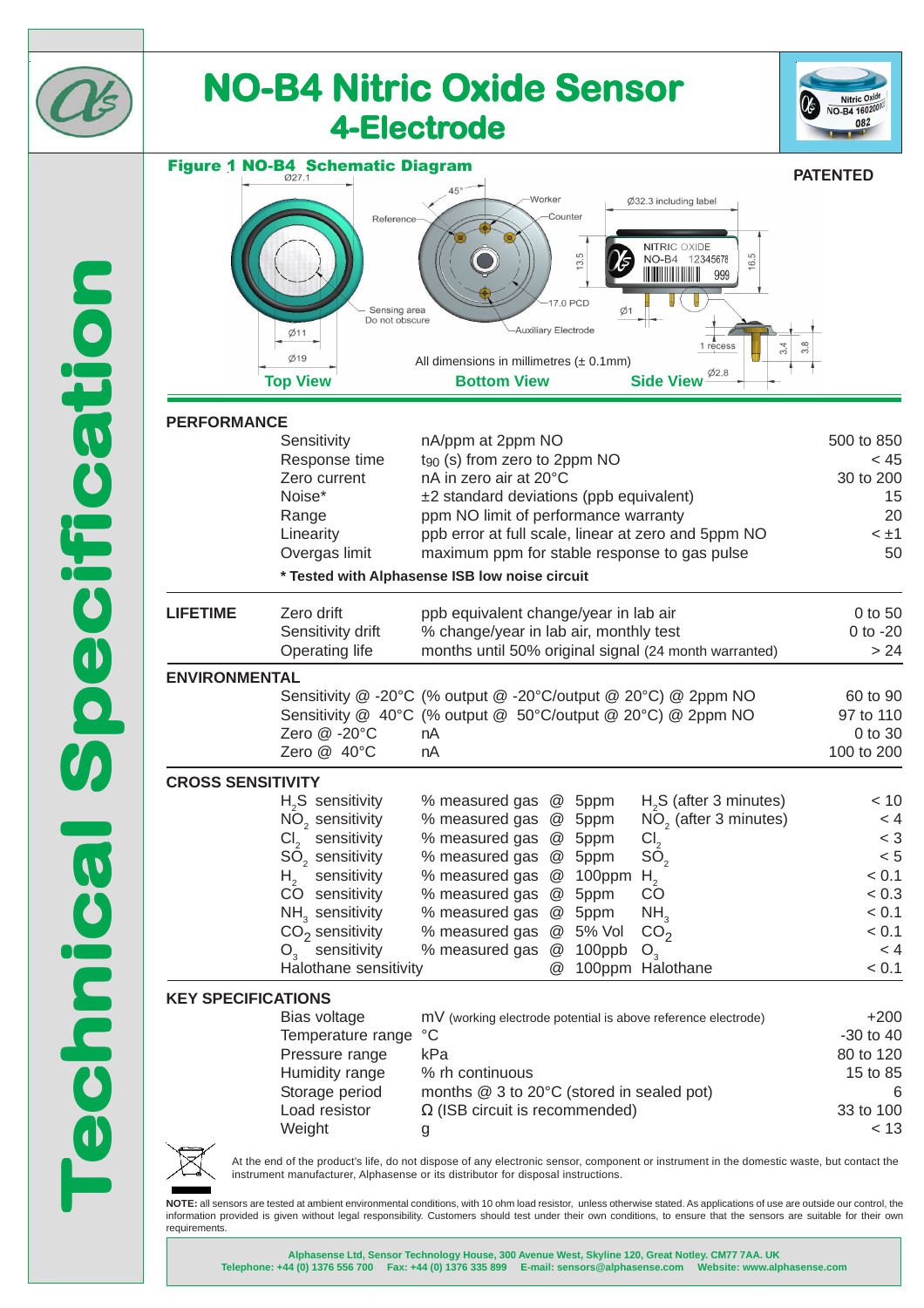

**NOTE:** all sensors are tested at ambient environmental conditions, with 10 ohm load resistor, unless otherwise stated. As applications of use are outside our control, the information provided is given without legal responsibility. Customers should test under their own conditions, to ensure that the sensors are suitable for their own requirements.